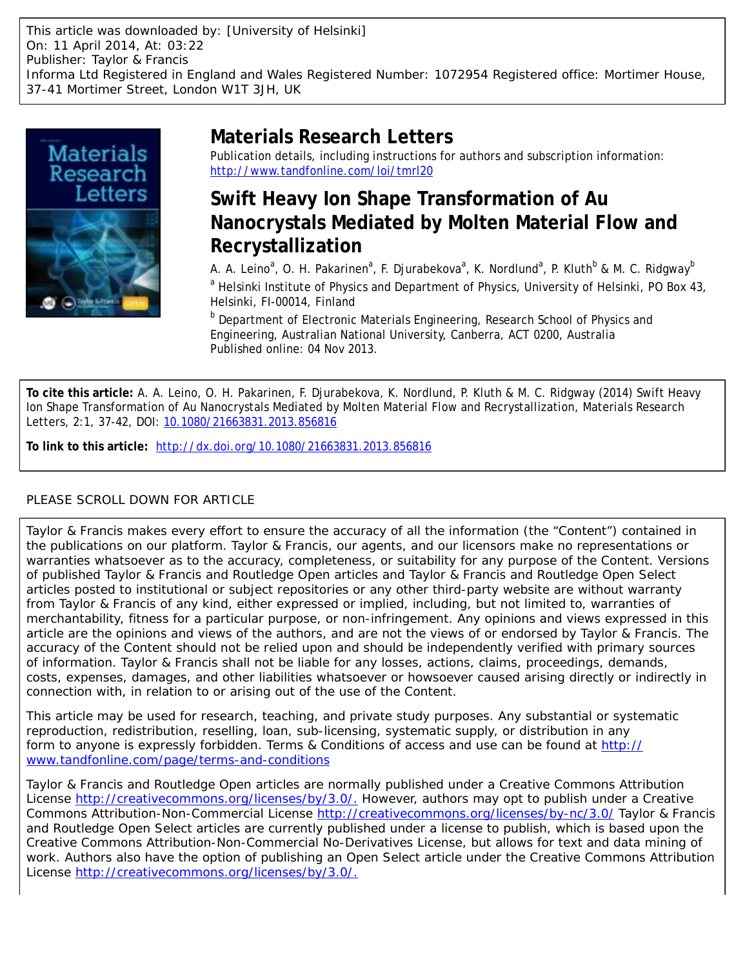This article was downloaded by: [University of Helsinki] On: 11 April 2014, At: 03:22 Publisher: Taylor & Francis Informa Ltd Registered in England and Wales Registered Number: 1072954 Registered office: Mortimer House, 37-41 Mortimer Street, London W1T 3JH, UK



# **Materials Research Letters**

Publication details, including instructions for authors and subscription information: <http://www.tandfonline.com/loi/tmrl20>

# **Swift Heavy Ion Shape Transformation of Au Nanocrystals Mediated by Molten Material Flow and Recrystallization**

A. A. Leino<sup>a</sup>, O. H. Pakarinen<sup>a</sup>, F. Djurabekova<sup>a</sup>, K. Nordlund<sup>a</sup>, P. Kluth<sup>b</sup> & M. C. Ridgway<sup>b</sup> <sup>a</sup> Helsinki Institute of Physics and Department of Physics, University of Helsinki, PO Box 43, Helsinki, FI-00014, Finland

**b** Department of Electronic Materials Engineering, Research School of Physics and Engineering, Australian National University, Canberra, ACT 0200, Australia Published online: 04 Nov 2013.

**To cite this article:** A. A. Leino, O. H. Pakarinen, F. Djurabekova, K. Nordlund, P. Kluth & M. C. Ridgway (2014) Swift Heavy Ion Shape Transformation of Au Nanocrystals Mediated by Molten Material Flow and Recrystallization, Materials Research Letters, 2:1, 37-42, DOI: [10.1080/21663831.2013.856816](http://www.tandfonline.com/action/showCitFormats?doi=10.1080/21663831.2013.856816)

**To link to this article:** <http://dx.doi.org/10.1080/21663831.2013.856816>

### PLEASE SCROLL DOWN FOR ARTICLE

Taylor & Francis makes every effort to ensure the accuracy of all the information (the "Content") contained in the publications on our platform. Taylor & Francis, our agents, and our licensors make no representations or warranties whatsoever as to the accuracy, completeness, or suitability for any purpose of the Content. Versions of published Taylor & Francis and Routledge Open articles and Taylor & Francis and Routledge Open Select articles posted to institutional or subject repositories or any other third-party website are without warranty from Taylor & Francis of any kind, either expressed or implied, including, but not limited to, warranties of merchantability, fitness for a particular purpose, or non-infringement. Any opinions and views expressed in this article are the opinions and views of the authors, and are not the views of or endorsed by Taylor & Francis. The accuracy of the Content should not be relied upon and should be independently verified with primary sources of information. Taylor & Francis shall not be liable for any losses, actions, claims, proceedings, demands, costs, expenses, damages, and other liabilities whatsoever or howsoever caused arising directly or indirectly in connection with, in relation to or arising out of the use of the Content.

This article may be used for research, teaching, and private study purposes. Any substantial or systematic reproduction, redistribution, reselling, loan, sub-licensing, systematic supply, or distribution in any form to anyone is expressly forbidden. Terms & Conditions of access and use can be found at [http://](http://www.tandfonline.com/page/terms-and-conditions) [www.tandfonline.com/page/terms-and-conditions](http://www.tandfonline.com/page/terms-and-conditions)

Taylor & Francis and Routledge Open articles are normally published under a Creative Commons Attribution License<http://creativecommons.org/licenses/by/3.0/.>However, authors may opt to publish under a Creative Commons Attribution-Non-Commercial License <http://creativecommons.org/licenses/by-nc/3.0/>Taylor & Francis and Routledge Open Select articles are currently published under a license to publish, which is based upon the Creative Commons Attribution-Non-Commercial No-Derivatives License, but allows for text and data mining of work. Authors also have the option of publishing an Open Select article under the Creative Commons Attribution License<http://creativecommons.org/licenses/by/3.0/.>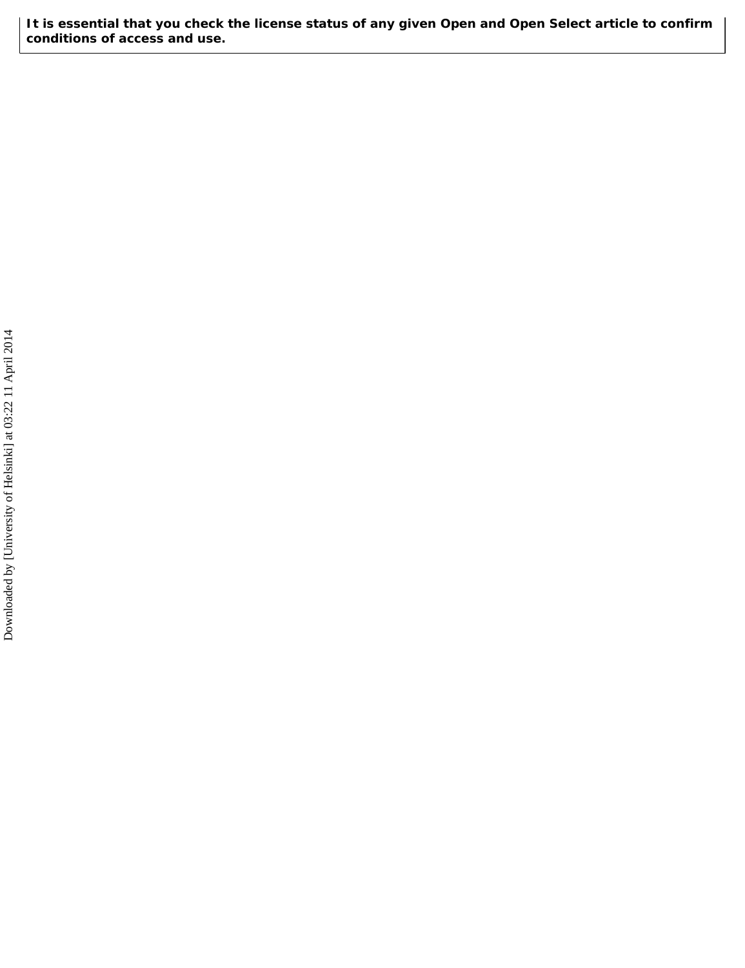**It is essential that you check the license status of any given Open and Open Select article to confirm conditions of access and use.**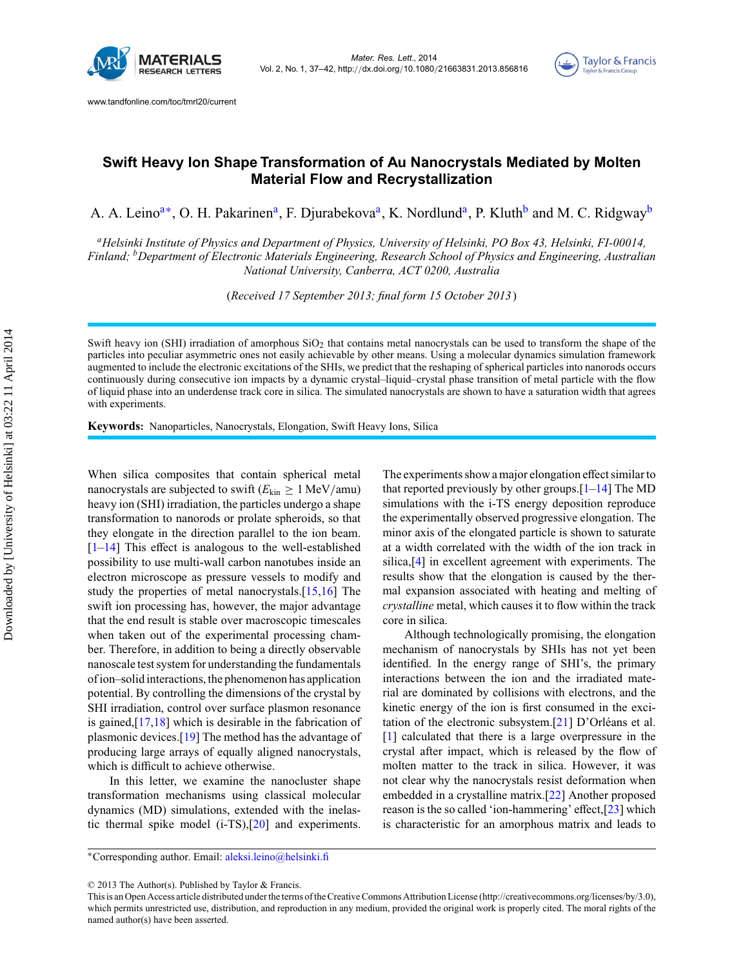



### **Swift Heavy Ion Shape Transformation of Au Nanocrystals Mediated by Molten Material Flow and Recrystallization**

A. A. Leino<sup>a\*</sup>, O. H. Pakarinen<sup>a</sup>, F. Djurabekova<sup>a</sup>, K. Nordlund<sup>a</sup>, P. Kluth<sup>b</sup> and M. C. Ridgway<sup>b</sup>

*aHelsinki Institute of Physics and Department of Physics, University of Helsinki, PO Box 43, Helsinki, FI-00014, Finland; bDepartment of Electronic Materials Engineering, Research School of Physics and Engineering, Australian National University, Canberra, ACT 0200, Australia*

(*Received 17 September 2013; final form 15 October 2013*)

Swift heavy ion (SHI) irradiation of amorphous  $SiO<sub>2</sub>$  that contains metal nanocrystals can be used to transform the shape of the particles into peculiar asymmetric ones not easily achievable by other means. Using a molecular dynamics simulation framework augmented to include the electronic excitations of the SHIs, we predict that the reshaping of spherical particles into nanorods occurs continuously during consecutive ion impacts by a dynamic crystal–liquid–crystal phase transition of metal particle with the flow of liquid phase into an underdense track core in silica. The simulated nanocrystals are shown to have a saturation width that agrees with experiments.

**Keywords:** Nanoparticles, Nanocrystals, Elongation, Swift Heavy Ions, Silica

When silica composites that contain spherical metal nanocrystals are subjected to swift ( $E_{kin} \geq 1$  MeV/amu) heavy ion (SHI) irradiation, the particles undergo a shape transformation to nanorods or prolate spheroids, so that they elongate in the direction parallel to the ion beam.  $[1-14]$  $[1-14]$  This effect is analogous to the well-established possibility to use multi-wall carbon nanotubes inside an electron microscope as pressure vessels to modify and study the properties of metal nanocrystals.[\[15,16](#page-7-0)] The swift ion processing has, however, the major advantage that the end result is stable over macroscopic timescales when taken out of the experimental processing chamber. Therefore, in addition to being a directly observable nanoscale test system for understanding the fundamentals of ion–solid interactions, the phenomenon has application potential. By controlling the dimensions of the crystal by SHI irradiation, control over surface plasmon resonance is gained,[\[17,18](#page-7-0)] which is desirable in the fabrication of plasmonic devices.[\[19\]](#page-7-0) The method has the advantage of producing large arrays of equally aligned nanocrystals, which is difficult to achieve otherwise.

In this letter, we examine the nanocluster shape transformation mechanisms using classical molecular dynamics (MD) simulations, extended with the inelastic thermal spike model (i-TS),[\[20\]](#page-7-0) and experiments.

The experiments show a major elongation effect similar to that reported previously by other groups.  $[1-14]$  $[1-14]$  The MD simulations with the i-TS energy deposition reproduce the experimentally observed progressive elongation. The minor axis of the elongated particle is shown to saturate at a width correlated with the width of the ion track in silica,[\[4\]](#page-6-0) in excellent agreement with experiments. The results show that the elongation is caused by the thermal expansion associated with heating and melting of *crystalline* metal, which causes it to flow within the track core in silica.

Although technologically promising, the elongation mechanism of nanocrystals by SHIs has not yet been identified. In the energy range of SHI's, the primary interactions between the ion and the irradiated material are dominated by collisions with electrons, and the kinetic energy of the ion is first consumed in the excitation of the electronic subsystem.[\[21\]](#page-7-0) D'Orléans et al. [\[1](#page-6-0)] calculated that there is a large overpressure in the crystal after impact, which is released by the flow of molten matter to the track in silica. However, it was not clear why the nanocrystals resist deformation when embedded in a crystalline matrix.[\[22\]](#page-7-0) Another proposed reason is the so called 'ion-hammering' effect,[\[23\]](#page-7-0) which is characteristic for an amorphous matrix and leads to

<sup>∗</sup>Corresponding author. Email: [aleksi.leino@helsinki.fi](mailto:aleksi.leino@helsinki.fi)

<sup>© 2013</sup> The Author(s). Published by Taylor & Francis.

This is an Open Access article distributed under the terms of the Creative Commons Attribution License (http://creativecommons.org/licenses/by/3.0), which permits unrestricted use, distribution, and reproduction in any medium, provided the original work is properly cited. The moral rights of the named author(s) have been asserted.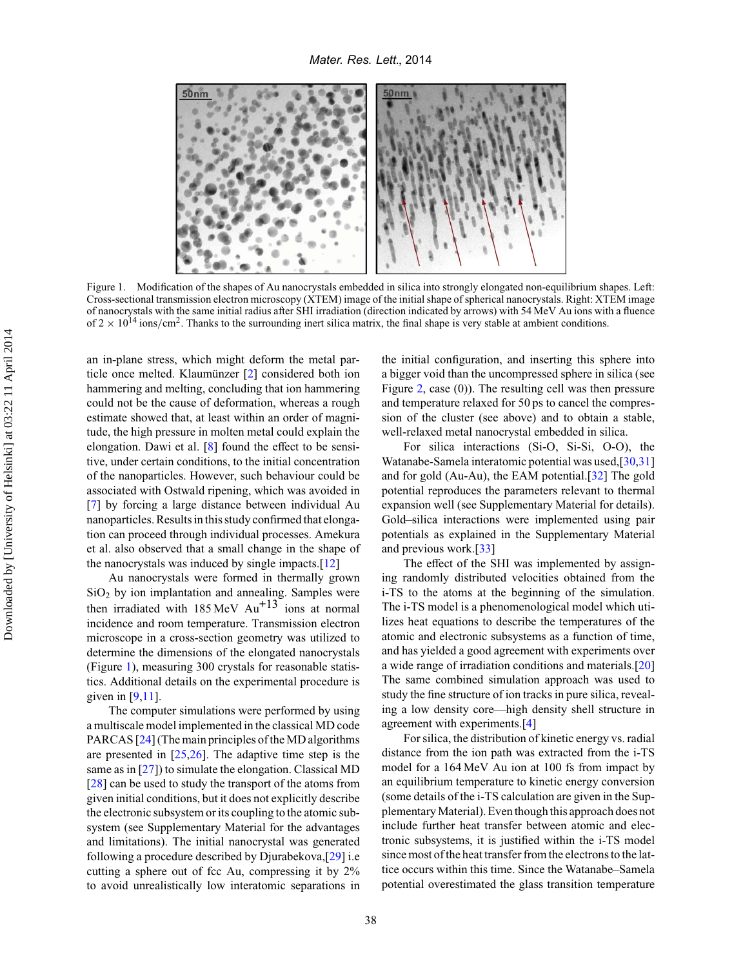

Figure 1. Modification of the shapes of Au nanocrystals embedded in silica into strongly elongated non-equilibrium shapes. Left: Cross-sectional transmission electron microscopy (XTEM) image of the initial shape of spherical nanocrystals. Right: XTEM image of nanocrystals with the same initial radius after SHI irradiation (direction indicated by arrows) with 54 MeV Au ions with a fluence of  $2 \times 10^{14}$  ions/cm<sup>2</sup>. Thanks to the surrounding inert silica matrix, the final shape is very stable at ambient conditions.

an in-plane stress, which might deform the metal particle once melted. Klaumünzer [\[2](#page-6-0)] considered both ion hammering and melting, concluding that ion hammering could not be the cause of deformation, whereas a rough estimate showed that, at least within an order of magnitude, the high pressure in molten metal could explain the elongation. Dawi et al. [\[8](#page-6-0)] found the effect to be sensitive, under certain conditions, to the initial concentration of the nanoparticles. However, such behaviour could be associated with Ostwald ripening, which was avoided in [\[7](#page-6-0)] by forcing a large distance between individual Au nanoparticles. Results in this study confirmed that elongation can proceed through individual processes. Amekura et al. also observed that a small change in the shape of the nanocrystals was induced by single impacts.[\[12\]](#page-7-0)

Au nanocrystals were formed in thermally grown  $SiO<sub>2</sub>$  by ion implantation and annealing. Samples were then irradiated with  $185 \text{ MeV}$  Au<sup>+13</sup> ions at normal incidence and room temperature. Transmission electron microscope in a cross-section geometry was utilized to determine the dimensions of the elongated nanocrystals (Figure 1), measuring 300 crystals for reasonable statistics. Additional details on the experimental procedure is given in [\[9](#page-6-0)[,11\]](#page-7-0).

The computer simulations were performed by using a multiscale model implemented in the classical MD code PARCAS [\[24](#page-7-0)] (The main principles of the MD algorithms are presented in  $[25,26]$ . The adaptive time step is the same as in [\[27\]](#page-7-0)) to simulate the elongation. Classical MD [\[28](#page-7-0)] can be used to study the transport of the atoms from given initial conditions, but it does not explicitly describe the electronic subsystem or its coupling to the atomic subsystem (see Supplementary Material for the advantages and limitations). The initial nanocrystal was generated following a procedure described by Djurabekova,[\[29](#page-7-0)] i.e cutting a sphere out of fcc Au, compressing it by 2% to avoid unrealistically low interatomic separations in

the initial configuration, and inserting this sphere into a bigger void than the uncompressed sphere in silica (see Figure [2,](#page-4-0) case (0)). The resulting cell was then pressure and temperature relaxed for 50 ps to cancel the compression of the cluster (see above) and to obtain a stable, well-relaxed metal nanocrystal embedded in silica.

For silica interactions (Si-O, Si-Si, O-O), the Watanabe-Samela interatomic potential was used,[\[30,31](#page-7-0)] and for gold (Au-Au), the EAM potential.[\[32](#page-7-0)] The gold potential reproduces the parameters relevant to thermal expansion well (see Supplementary Material for details). Gold–silica interactions were implemented using pair potentials as explained in the Supplementary Material and previous work.[\[33](#page-7-0)]

The effect of the SHI was implemented by assigning randomly distributed velocities obtained from the i-TS to the atoms at the beginning of the simulation. The i-TS model is a phenomenological model which utilizes heat equations to describe the temperatures of the atomic and electronic subsystems as a function of time, and has yielded a good agreement with experiments over a wide range of irradiation conditions and materials.[\[20](#page-7-0)] The same combined simulation approach was used to study the fine structure of ion tracks in pure silica, revealing a low density core—high density shell structure in agreement with experiments.[\[4\]](#page-6-0)

For silica, the distribution of kinetic energy vs. radial distance from the ion path was extracted from the i-TS model for a 164 MeV Au ion at 100 fs from impact by an equilibrium temperature to kinetic energy conversion (some details of the i-TS calculation are given in the Supplementary Material). Even though this approach does not include further heat transfer between atomic and electronic subsystems, it is justified within the i-TS model since most of the heat transfer from the electrons to the lattice occurs within this time. Since the Watanabe–Samela potential overestimated the glass transition temperature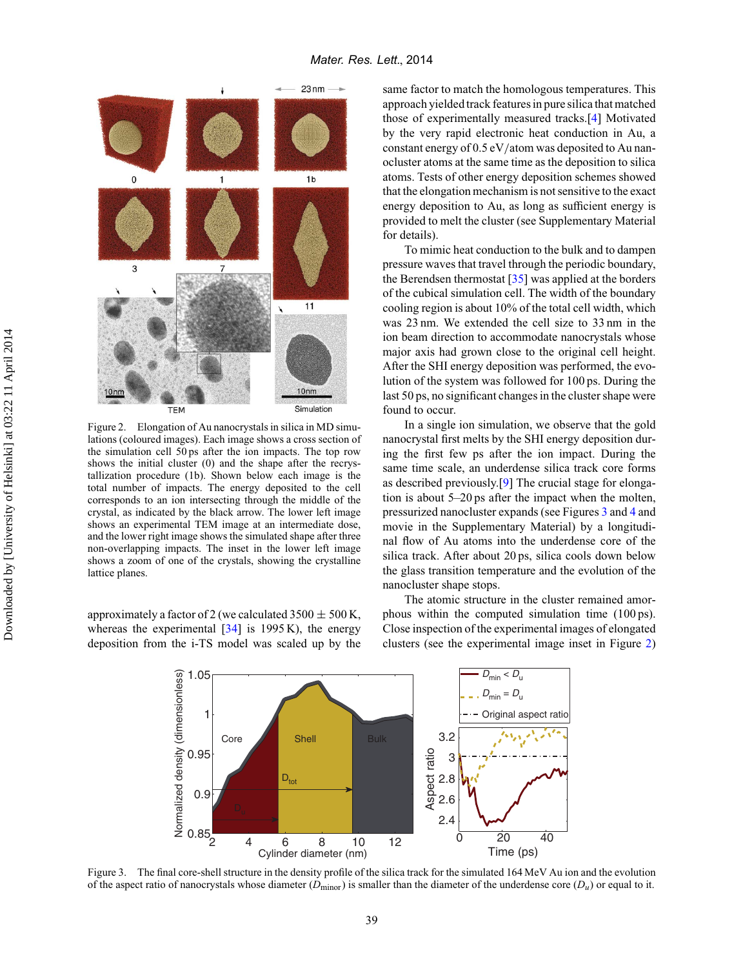<span id="page-4-0"></span>

Figure 2. Elongation of Au nanocrystals in silica in MD simulations (coloured images). Each image shows a cross section of the simulation cell 50 ps after the ion impacts. The top row shows the initial cluster (0) and the shape after the recrystallization procedure (1b). Shown below each image is the total number of impacts. The energy deposited to the cell corresponds to an ion intersecting through the middle of the crystal, as indicated by the black arrow. The lower left image shows an experimental TEM image at an intermediate dose, and the lower right image shows the simulated shape after three non-overlapping impacts. The inset in the lower left image shows a zoom of one of the crystals, showing the crystalline lattice planes.

approximately a factor of 2 (we calculated  $3500 \pm 500$  K, whereas the experimental  $[34]$  $[34]$  is 1995 K), the energy deposition from the i-TS model was scaled up by the same factor to match the homologous temperatures. This approach yielded track features in pure silica that matched those of experimentally measured tracks.[\[4](#page-6-0)] Motivated by the very rapid electronic heat conduction in Au, a constant energy of 0.5 eV*/*atom was deposited to Au nanocluster atoms at the same time as the deposition to silica atoms. Tests of other energy deposition schemes showed that the elongation mechanism is not sensitive to the exact energy deposition to Au, as long as sufficient energy is provided to melt the cluster (see Supplementary Material for details).

To mimic heat conduction to the bulk and to dampen pressure waves that travel through the periodic boundary, the Berendsen thermostat  $\left[35\right]$  $\left[35\right]$  $\left[35\right]$  was applied at the borders of the cubical simulation cell. The width of the boundary cooling region is about 10% of the total cell width, which was 23 nm. We extended the cell size to 33 nm in the ion beam direction to accommodate nanocrystals whose major axis had grown close to the original cell height. After the SHI energy deposition was performed, the evolution of the system was followed for 100 ps. During the last 50 ps, no significant changes in the cluster shape were found to occur.

In a single ion simulation, we observe that the gold nanocrystal first melts by the SHI energy deposition during the first few ps after the ion impact. During the same time scale, an underdense silica track core forms as described previously.[\[9\]](#page-6-0) The crucial stage for elongation is about 5–20 ps after the impact when the molten, pressurized nanocluster expands (see Figures 3 and [4](#page-5-0) and movie in the Supplementary Material) by a longitudinal flow of Au atoms into the underdense core of the silica track. After about 20 ps, silica cools down below the glass transition temperature and the evolution of the nanocluster shape stops.

The atomic structure in the cluster remained amorphous within the computed simulation time (100 ps). Close inspection of the experimental images of elongated clusters (see the experimental image inset in Figure 2)



Figure 3. The final core-shell structure in the density profile of the silica track for the simulated 164 MeV Au ion and the evolution of the aspect ratio of nanocrystals whose diameter  $(D_{\text{minor}})$  is smaller than the diameter of the underdense core  $(D_u)$  or equal to it.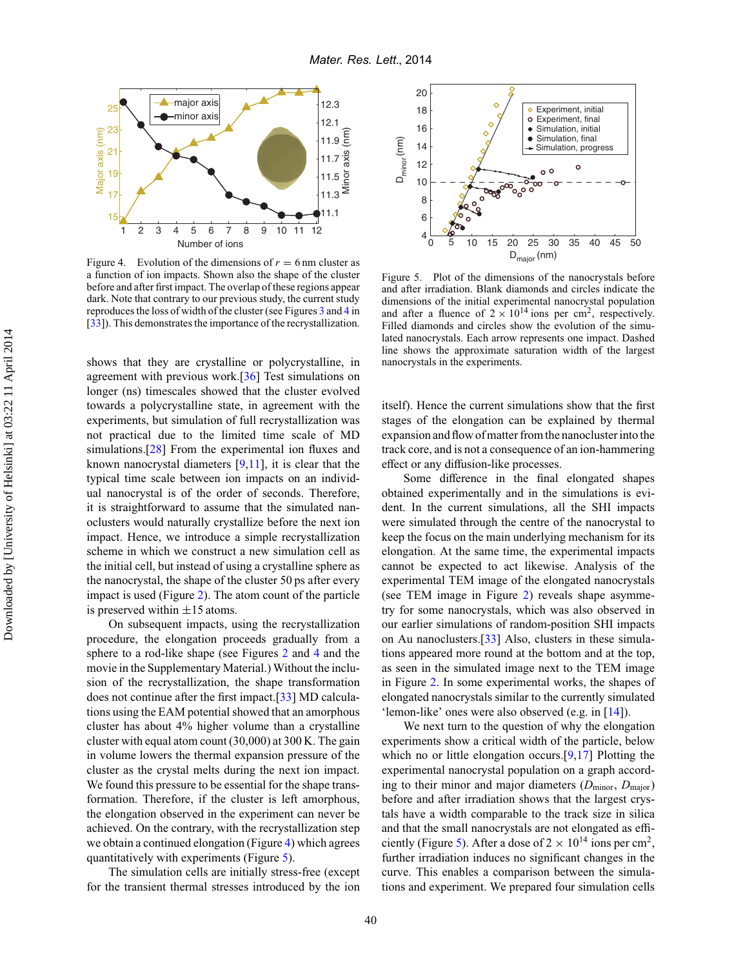<span id="page-5-0"></span>

Figure 4. Evolution of the dimensions of  $r = 6$  nm cluster as a function of ion impacts. Shown also the shape of the cluster before and after first impact. The overlap of these regions appear dark. Note that contrary to our previous study, the current study reproduces the loss of width of the cluster (see Figures [3](#page-4-0) and 4 in [\[33](#page-7-0)]). This demonstrates the importance of the recrystallization.

shows that they are crystalline or polycrystalline, in agreement with previous work.[\[36](#page-7-0)] Test simulations on longer (ns) timescales showed that the cluster evolved towards a polycrystalline state, in agreement with the experiments, but simulation of full recrystallization was not practical due to the limited time scale of MD simulations.[\[28\]](#page-7-0) From the experimental ion fluxes and known nanocrystal diameters  $[9,11]$  $[9,11]$ , it is clear that the typical time scale between ion impacts on an individual nanocrystal is of the order of seconds. Therefore, it is straightforward to assume that the simulated nanoclusters would naturally crystallize before the next ion impact. Hence, we introduce a simple recrystallization scheme in which we construct a new simulation cell as the initial cell, but instead of using a crystalline sphere as the nanocrystal, the shape of the cluster 50 ps after every impact is used (Figure [2\)](#page-4-0). The atom count of the particle is preserved within  $\pm 15$  atoms.

On subsequent impacts, using the recrystallization procedure, the elongation proceeds gradually from a sphere to a rod-like shape (see Figures [2](#page-4-0) and 4 and the movie in the Supplementary Material.) Without the inclusion of the recrystallization, the shape transformation does not continue after the first impact.[\[33\]](#page-7-0) MD calculations using the EAM potential showed that an amorphous cluster has about 4% higher volume than a crystalline cluster with equal atom count (30,000) at 300 K. The gain in volume lowers the thermal expansion pressure of the cluster as the crystal melts during the next ion impact. We found this pressure to be essential for the shape transformation. Therefore, if the cluster is left amorphous, the elongation observed in the experiment can never be achieved. On the contrary, with the recrystallization step we obtain a continued elongation (Figure 4) which agrees quantitatively with experiments (Figure 5).

The simulation cells are initially stress-free (except for the transient thermal stresses introduced by the ion



Figure 5. Plot of the dimensions of the nanocrystals before and after irradiation. Blank diamonds and circles indicate the dimensions of the initial experimental nanocrystal population and after a fluence of  $2 \times 10^{14}$  ions per cm<sup>2</sup>, respectively. Filled diamonds and circles show the evolution of the simulated nanocrystals. Each arrow represents one impact. Dashed line shows the approximate saturation width of the largest nanocrystals in the experiments.

itself). Hence the current simulations show that the first stages of the elongation can be explained by thermal expansion and flow of matter from the nanocluster into the track core, and is not a consequence of an ion-hammering effect or any diffusion-like processes.

Some difference in the final elongated shapes obtained experimentally and in the simulations is evident. In the current simulations, all the SHI impacts were simulated through the centre of the nanocrystal to keep the focus on the main underlying mechanism for its elongation. At the same time, the experimental impacts cannot be expected to act likewise. Analysis of the experimental TEM image of the elongated nanocrystals (see TEM image in Figure [2\)](#page-4-0) reveals shape asymmetry for some nanocrystals, which was also observed in our earlier simulations of random-position SHI impacts on Au nanoclusters.[\[33\]](#page-7-0) Also, clusters in these simulations appeared more round at the bottom and at the top, as seen in the simulated image next to the TEM image in Figure [2.](#page-4-0) In some experimental works, the shapes of elongated nanocrystals similar to the currently simulated 'lemon-like' ones were also observed (e.g. in [\[14\]](#page-7-0)).

We next turn to the question of why the elongation experiments show a critical width of the particle, below which no or little elongation occurs.<sup>[\[9](#page-6-0)[,17](#page-7-0)]</sup> Plotting the experimental nanocrystal population on a graph according to their minor and major diameters (*D*minor, *D*major) before and after irradiation shows that the largest crystals have a width comparable to the track size in silica and that the small nanocrystals are not elongated as efficiently (Figure 5). After a dose of  $2 \times 10^{14}$  ions per cm<sup>2</sup>, further irradiation induces no significant changes in the curve. This enables a comparison between the simulations and experiment. We prepared four simulation cells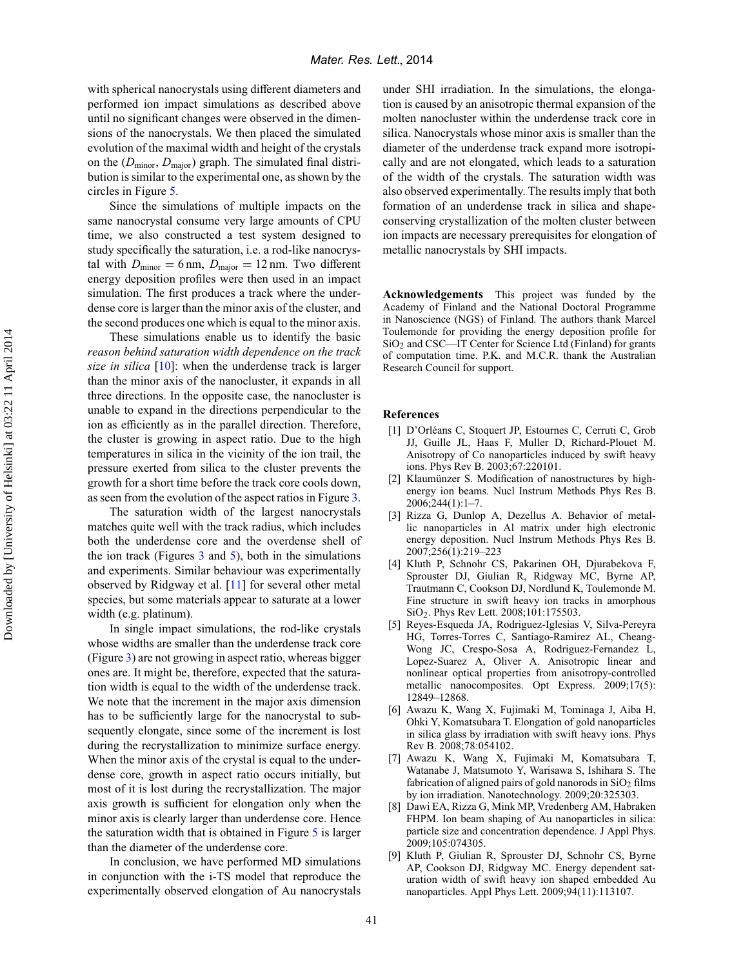<span id="page-6-0"></span>with spherical nanocrystals using different diameters and performed ion impact simulations as described above until no significant changes were observed in the dimensions of the nanocrystals. We then placed the simulated evolution of the maximal width and height of the crystals on the (*D*minor, *D*major) graph. The simulated final distribution is similar to the experimental one, as shown by the circles in Figure [5.](#page-5-0)

Since the simulations of multiple impacts on the same nanocrystal consume very large amounts of CPU time, we also constructed a test system designed to study specifically the saturation, i.e. a rod-like nanocrystal with  $D_{\text{minor}} = 6 \text{ nm}$ ,  $D_{\text{major}} = 12 \text{ nm}$ . Two different energy deposition profiles were then used in an impact simulation. The first produces a track where the underdense core is larger than the minor axis of the cluster, and the second produces one which is equal to the minor axis.

These simulations enable us to identify the basic *reason behind saturation width dependence on the track size in silica* [\[10](#page-7-0)]: when the underdense track is larger than the minor axis of the nanocluster, it expands in all three directions. In the opposite case, the nanocluster is unable to expand in the directions perpendicular to the ion as efficiently as in the parallel direction. Therefore, the cluster is growing in aspect ratio. Due to the high temperatures in silica in the vicinity of the ion trail, the pressure exerted from silica to the cluster prevents the growth for a short time before the track core cools down, as seen from the evolution of the aspect ratios in Figure [3.](#page-4-0)

The saturation width of the largest nanocrystals matches quite well with the track radius, which includes both the underdense core and the overdense shell of the ion track (Figures  $3$  and  $5$ ), both in the simulations and experiments. Similar behaviour was experimentally observed by Ridgway et al. [\[11\]](#page-7-0) for several other metal species, but some materials appear to saturate at a lower width (e.g. platinum).

In single impact simulations, the rod-like crystals whose widths are smaller than the underdense track core (Figure [3\)](#page-4-0) are not growing in aspect ratio, whereas bigger ones are. It might be, therefore, expected that the saturation width is equal to the width of the underdense track. We note that the increment in the major axis dimension has to be sufficiently large for the nanocrystal to subsequently elongate, since some of the increment is lost during the recrystallization to minimize surface energy. When the minor axis of the crystal is equal to the underdense core, growth in aspect ratio occurs initially, but most of it is lost during the recrystallization. The major axis growth is sufficient for elongation only when the minor axis is clearly larger than underdense core. Hence the saturation width that is obtained in Figure [5](#page-5-0) is larger than the diameter of the underdense core.

In conclusion, we have performed MD simulations in conjunction with the i-TS model that reproduce the experimentally observed elongation of Au nanocrystals under SHI irradiation. In the simulations, the elongation is caused by an anisotropic thermal expansion of the molten nanocluster within the underdense track core in silica. Nanocrystals whose minor axis is smaller than the diameter of the underdense track expand more isotropically and are not elongated, which leads to a saturation of the width of the crystals. The saturation width was also observed experimentally. The results imply that both formation of an underdense track in silica and shapeconserving crystallization of the molten cluster between ion impacts are necessary prerequisites for elongation of metallic nanocrystals by SHI impacts.

**Acknowledgements** This project was funded by the Academy of Finland and the National Doctoral Programme in Nanoscience (NGS) of Finland. The authors thank Marcel Toulemonde for providing the energy deposition profile for SiO<sub>2</sub> and CSC—IT Center for Science Ltd (Finland) for grants of computation time. P.K. and M.C.R. thank the Australian Research Council for support.

#### **References**

- [1] D'Orléans C, Stoquert JP, Estournes C, Cerruti C, Grob JJ, Guille JL, Haas F, Muller D, Richard-Plouet M. Anisotropy of Co nanoparticles induced by swift heavy ions. Phys Rev B. 2003;67:220101.
- [2] Klaumünzer S. Modification of nanostructures by highenergy ion beams. Nucl Instrum Methods Phys Res B. 2006;244(1):1–7.
- [3] Rizza G, Dunlop A, Dezellus A. Behavior of metallic nanoparticles in Al matrix under high electronic energy deposition. Nucl Instrum Methods Phys Res B. 2007;256(1):219–223
- [4] Kluth P, Schnohr CS, Pakarinen OH, Djurabekova F, Sprouster DJ, Giulian R, Ridgway MC, Byrne AP, Trautmann C, Cookson DJ, Nordlund K, Toulemonde M. Fine structure in swift heavy ion tracks in amorphous SiO2. Phys Rev Lett. 2008;101:175503.
- [5] Reyes-Esqueda JA, Rodriguez-Iglesias V, Silva-Pereyra HG, Torres-Torres C, Santiago-Ramirez AL, Cheang-Wong JC, Crespo-Sosa A, Rodriguez-Fernandez L, Lopez-Suarez A, Oliver A. Anisotropic linear and nonlinear optical properties from anisotropy-controlled metallic nanocomposites. Opt Express. 2009;17(5): 12849–12868.
- [6] Awazu K, Wang X, Fujimaki M, Tominaga J, Aiba H, Ohki Y, Komatsubara T. Elongation of gold nanoparticles in silica glass by irradiation with swift heavy ions. Phys Rev B. 2008;78:054102.
- [7] Awazu K, Wang X, Fujimaki M, Komatsubara T, Watanabe J, Matsumoto Y, Warisawa S, Ishihara S. The fabrication of aligned pairs of gold nanorods in  $SiO<sub>2</sub>$  films by ion irradiation. Nanotechnology. 2009;20:325303.
- [8] Dawi EA, Rizza G, Mink MP, Vredenberg AM, Habraken FHPM. Ion beam shaping of Au nanoparticles in silica: particle size and concentration dependence. J Appl Phys. 2009;105:074305.
- [9] Kluth P, Giulian R, Sprouster DJ, Schnohr CS, Byrne AP, Cookson DJ, Ridgway MC. Energy dependent saturation width of swift heavy ion shaped embedded Au nanoparticles. Appl Phys Lett. 2009;94(11):113107.